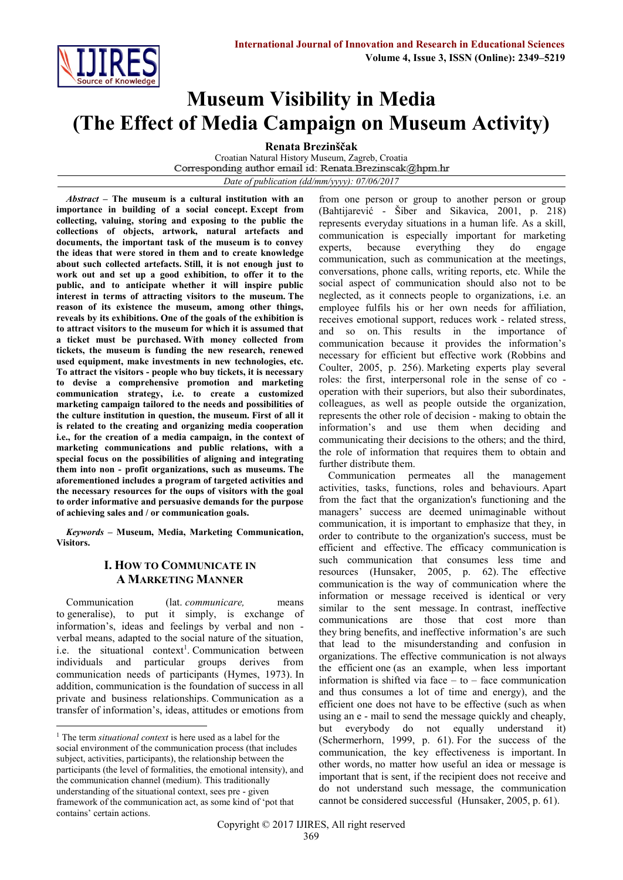

# **Museum Visibility in Media (The Effect of Media Campaign on Museum Activity)**

**Renata Brezinščak**

Croatian Natural History Museum, Zagreb, Croatia<br>Corresponding author email id: Renata Brezinscak@hpm.hr *Date of publication (dd/mm/yyyy): 07/06/2017*

*Abstract* **– The museum is a cultural institution with an importance in building of a social concept. Except from collecting, valuing, storing and exposing to the public the collections of objects, artwork, natural artefacts and documents, the important task of the museum is to convey the ideas that were stored in them and to create knowledge about such collected artefacts. Still, it is not enough just to work out and set up a good exhibition, to offer it to the public, and to anticipate whether it will inspire public interest in terms of attracting visitors to the museum. The reason of its existence the museum, among other things, reveals by its exhibitions. One of the goals of the exhibition is to attract visitors to the museum for which it is assumed that a ticket must be purchased. With money collected from tickets, the museum is funding the new research, renewed used equipment, make investments in new technologies, etc. To attract the visitors - people who buy tickets, it is necessary to devise a comprehensive promotion and marketing communication strategy, i.e. to create a customized marketing campaign tailored to the needs and possibilities of the culture institution in question, the museum. First of all it is related to the creating and organizing media cooperation i.e., for the creation of a media campaign, in the context of marketing communications and public relations, with a special focus on the possibilities of aligning and integrating them into non - profit organizations, such as museums. The aforementioned includes a program of targeted activities and the necessary resources for the oups of visitors with the goal to order informative and persuasive demands for the purpose of achieving sales and / or communication goals.**

*Keywords* **– Museum, Media, Marketing Communication, Visitors.**

# **I. HOW TO COMMUNICATE IN A MARKETING MANNER**

Communication (lat. *communicare,* means to generalise), to put it simply, is exchange of information's, ideas and feelings by verbal and non verbal means, adapted to the social nature of the situation, i.e. the situational context<sup>1</sup>. Communication between individuals and particular groups derives from communication needs of participants (Hymes, 1973). In addition, communication is the foundation of success in all private and business relationships. Communication as a transfer of information's, ideas, attitudes or emotions from

**.** 

from one person or group to another person or group (Bahtijarević - Šiber and Sikavica, 2001, p. 218) represents everyday situations in a human life. As a skill, communication is especially important for marketing experts, because everything they do engage communication, such as communication at the meetings, conversations, phone calls, writing reports, etc. While the social aspect of communication should also not to be neglected, as it connects people to organizations, i.e. an employee fulfils his or her own needs for affiliation, receives emotional support, reduces work - related stress, and so on. This results in the importance of communication because it provides the information's necessary for efficient but effective work (Robbins and Coulter, 2005, p. 256). Marketing experts play several roles: the first, interpersonal role in the sense of co operation with their superiors, but also their subordinates, colleagues, as well as people outside the organization, represents the other role of decision - making to obtain the information's and use them when deciding and communicating their decisions to the others; and the third, the role of information that requires them to obtain and further distribute them.

Communication permeates all the management activities, tasks, functions, roles and behaviours. Apart from the fact that the organization's functioning and the managers' success are deemed unimaginable without communication, it is important to emphasize that they, in order to contribute to the organization's success, must be efficient and effective. The efficacy communication is such communication that consumes less time and resources (Hunsaker, 2005, p. 62). The effective communication is the way of communication where the information or message received is identical or very similar to the sent message. In contrast, ineffective communications are those that cost more than they bring benefits, and ineffective information's are such that lead to the misunderstanding and confusion in organizations. The effective communication is not always the efficient one (as an example, when less important information is shifted via face – to – face communication and thus consumes a lot of time and energy), and the efficient one does not have to be effective (such as when using an e - mail to send the message quickly and cheaply, but everybody do not equally understand it) (Schermerhorn, 1999, p. 61). For the success of the communication, the key effectiveness is important. In other words, no matter how useful an idea or message is important that is sent, if the recipient does not receive and do not understand such message, the communication cannot be considered successful (Hunsaker, 2005, p. 61).

<sup>1</sup> The term *situational context* is here used as a label for the social environment of the communication process (that includes subject, activities, participants), the relationship between the participants (the level of formalities, the emotional intensity), and the communication channel (medium). This traditionally understanding of the situational context, sees pre - given framework of the communication act, as some kind of 'pot that contains' certain actions.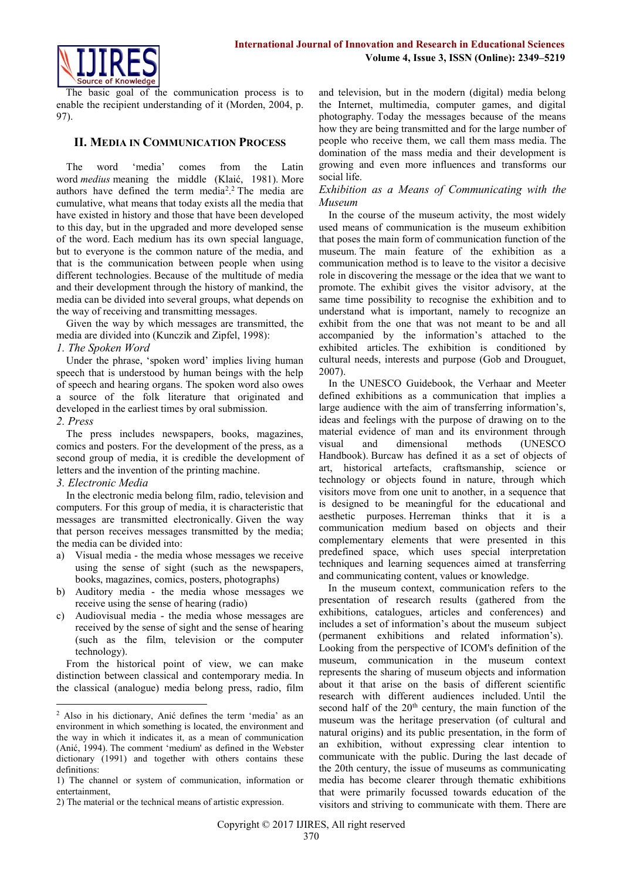

The basic goal of the communication process is to enable the recipient understanding of it (Morden, 2004, p. 97).

## **II. MEDIA IN COMMUNICATION PROCESS**

The word 'media' comes from the Latin word *medius* meaning the middle (Klaić, 1981). More authors have defined the term media<sup>2</sup> . <sup>2</sup> The media are cumulative, what means that today exists all the media that have existed in history and those that have been developed to this day, but in the upgraded and more developed sense of the word. Each medium has its own special language, but to everyone is the common nature of the media, and that is the communication between people when using different technologies. Because of the multitude of media and their development through the history of mankind, the media can be divided into several groups, what depends on the way of receiving and transmitting messages.

Given the way by which messages are transmitted, the media are divided into (Kunczik and Zipfel, 1998):

### *1. The Spoken Word*

Under the phrase, 'spoken word' implies living human speech that is understood by human beings with the help of speech and hearing organs. The spoken word also owes a source of the folk literature that originated and developed in the earliest times by oral submission.

### *2. Press*

1

The press includes newspapers, books, magazines, comics and posters. For the development of the press, as a second group of media, it is credible the development of letters and the invention of the printing machine.

# *3. Electronic Media*

In the electronic media belong film, radio, television and computers. For this group of media, it is characteristic that messages are transmitted electronically. Given the way that person receives messages transmitted by the media; the media can be divided into:

- a) Visual media the media whose messages we receive using the sense of sight (such as the newspapers, books, magazines, comics, posters, photographs)
- b) Auditory media the media whose messages we receive using the sense of hearing (radio)
- c) Audiovisual media the media whose messages are received by the sense of sight and the sense of hearing (such as the film, television or the computer technology).

From the historical point of view, we can make distinction between classical and contemporary media. In the classical (analogue) media belong press, radio, film

and television, but in the modern (digital) media belong the Internet, multimedia, computer games, and digital photography. Today the messages because of the means how they are being transmitted and for the large number of people who receive them, we call them mass media. The domination of the mass media and their development is growing and even more influences and transforms our social life.

### *Exhibition as a Means of Communicating with the Museum*

In the course of the museum activity, the most widely used means of communication is the museum exhibition that poses the main form of communication function of the museum. The main feature of the exhibition as a communication method is to leave to the visitor a decisive role in discovering the message or the idea that we want to promote. The exhibit gives the visitor advisory, at the same time possibility to recognise the exhibition and to understand what is important, namely to recognize an exhibit from the one that was not meant to be and all accompanied by the information's attached to the exhibited articles. The exhibition is conditioned by cultural needs, interests and purpose (Gob and Drouguet, 2007).

In the UNESCO Guidebook, the Verhaar and Meeter defined exhibitions as a communication that implies a large audience with the aim of transferring information's, ideas and feelings with the purpose of drawing on to the material evidence of man and its environment through visual and dimensional methods (UNESCO Handbook). Burcaw has defined it as a set of objects of art, historical artefacts, craftsmanship, science or technology or objects found in nature, through which visitors move from one unit to another, in a sequence that is designed to be meaningful for the educational and aesthetic purposes. Herreman thinks that it is a communication medium based on objects and their complementary elements that were presented in this predefined space, which uses special interpretation techniques and learning sequences aimed at transferring and communicating content, values or knowledge.

In the museum context, communication refers to the presentation of research results (gathered from the exhibitions, catalogues, articles and conferences) and includes a set of information's about the museum subject (permanent exhibitions and related information's). Looking from the perspective of ICOM's definition of the museum, communication in the museum context represents the sharing of museum objects and information about it that arise on the basis of different scientific research with different audiences included. Until the second half of the  $20<sup>th</sup>$  century, the main function of the museum was the heritage preservation (of cultural and natural origins) and its public presentation, in the form of an exhibition, without expressing clear intention to communicate with the public. During the last decade of the 20th century, the issue of museums as communicating media has become clearer through thematic exhibitions that were primarily focussed towards education of the visitors and striving to communicate with them. There are

<sup>2</sup> Also in his dictionary, Anić defines the term 'media' as an environment in which something is located, the environment and the way in which it indicates it, as a mean of communication (Anić, 1994). The comment 'medium' as defined in the Webster dictionary (1991) and together with others contains these definitions:

<sup>1)</sup> The channel or system of communication, information or entertainment,

<sup>2)</sup> The material or the technical means of artistic expression.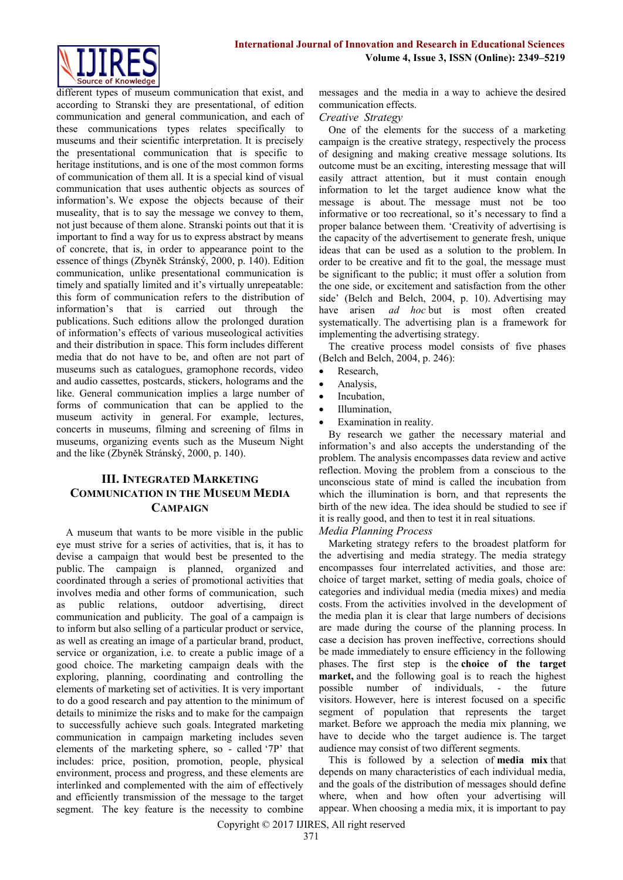

different types of museum communication that exist, and according to Stranski they are presentational, of edition communication and general communication, and each of these communications types relates specifically to museums and their scientific interpretation. It is precisely the presentational communication that is specific to heritage institutions, and is one of the most common forms of communication of them all. It is a special kind of visual communication that uses authentic objects as sources of information's. We expose the objects because of their museality, that is to say the message we convey to them, not just because of them alone. Stranski points out that it is important to find a way for us to express abstract by means of concrete, that is, in order to appearance point to the essence of things (Zbyněk Stránský, 2000, p. 140). Edition communication, unlike presentational communication is timely and spatially limited and it's virtually unrepeatable: this form of communication refers to the distribution of information's that is carried out through the publications. Such editions allow the prolonged duration of information's effects of various museological activities and their distribution in space. This form includes different media that do not have to be, and often are not part of museums such as catalogues, gramophone records, video and audio cassettes, postcards, stickers, holograms and the like. General communication implies a large number of forms of communication that can be applied to the museum activity in general. For example, lectures, concerts in museums, filming and screening of films in museums, organizing events such as the Museum Night and the like (Zbyněk Stránský, 2000, p. 140).

# **III. INTEGRATED MARKETING COMMUNICATION IN THE MUSEUM MEDIA CAMPAIGN**

A museum that wants to be more visible in the public eye must strive for a series of activities, that is, it has to devise a campaign that would best be presented to the public. The campaign is planned, organized and coordinated through a series of promotional activities that involves media and other forms of communication, such as public relations, outdoor advertising, direct communication and publicity. The goal of a campaign is to inform but also selling of a particular product or service, as well as creating an image of a particular brand, product, service or organization, i.e. to create a public image of a good choice. The marketing campaign deals with the exploring, planning, coordinating and controlling the elements of marketing set of activities. It is very important to do a good research and pay attention to the minimum of details to minimize the risks and to make for the campaign to successfully achieve such goals. Integrated marketing communication in campaign marketing includes seven elements of the marketing sphere, so - called '7P' that includes: price, position, promotion, people, physical environment, process and progress, and these elements are interlinked and complemented with the aim of effectively and efficiently transmission of the message to the target segment. The key feature is the necessity to combine

messages and the media in a way to achieve the desired communication effects.

## *Creative Strategy*

One of the elements for the success of a marketing campaign is the creative strategy, respectively the process of designing and making creative message solutions. Its outcome must be an exciting, interesting message that will easily attract attention, but it must contain enough information to let the target audience know what the message is about. The message must not be too informative or too recreational, so it's necessary to find a proper balance between them. 'Creativity of advertising is the capacity of the advertisement to generate fresh, unique ideas that can be used as a solution to the problem. In order to be creative and fit to the goal, the message must be significant to the public; it must offer a solution from the one side, or excitement and satisfaction from the other side' (Belch and Belch, 2004, p. 10). Advertising may have arisen *ad hoc* but is most often created systematically. The advertising plan is a framework for implementing the advertising strategy.

The creative process model consists of five phases (Belch and Belch, 2004, p. 246):

- Research,
- Analysis,
- Incubation
- Illumination,
- Examination in reality.

By research we gather the necessary material and information's and also accepts the understanding of the problem. The analysis encompasses data review and active reflection. Moving the problem from a conscious to the unconscious state of mind is called the incubation from which the illumination is born, and that represents the birth of the new idea. The idea should be studied to see if it is really good, and then to test it in real situations.

*Media Planning Process*

Marketing strategy refers to the broadest platform for the advertising and media strategy. The media strategy encompasses four interrelated activities, and those are: choice of target market, setting of media goals, choice of categories and individual media (media mixes) and media costs. From the activities involved in the development of the media plan it is clear that large numbers of decisions are made during the course of the planning process. In case a decision has proven ineffective, corrections should be made immediately to ensure efficiency in the following phases. The first step is the **choice of the target market,** and the following goal is to reach the highest possible number of individuals, - the future visitors. However, here is interest focused on a specific segment of population that represents the target market. Before we approach the media mix planning, we have to decide who the target audience is. The target audience may consist of two different segments.

This is followed by a selection of **media mix** that depends on many characteristics of each individual media, and the goals of the distribution of messages should define where, when and how often your advertising will appear. When choosing a media mix, it is important to pay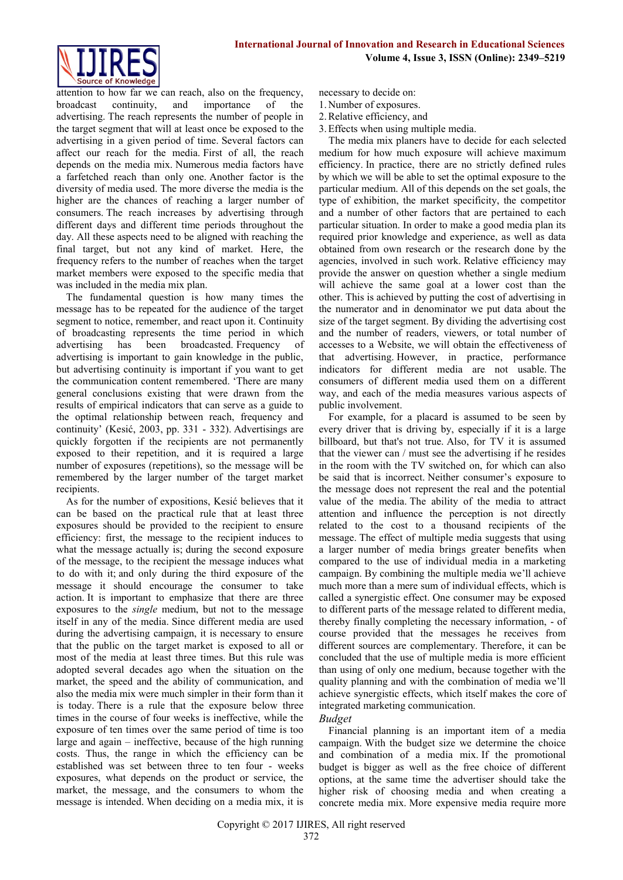

attention to how far we can reach, also on the frequency, broadcast continuity, and importance of the advertising. The reach represents the number of people in the target segment that will at least once be exposed to the advertising in a given period of time. Several factors can affect our reach for the media. First of all, the reach depends on the media mix. Numerous media factors have a farfetched reach than only one. Another factor is the diversity of media used. The more diverse the media is the higher are the chances of reaching a larger number of consumers. The reach increases by advertising through different days and different time periods throughout the day. All these aspects need to be aligned with reaching the final target, but not any kind of market. Here, the frequency refers to the number of reaches when the target market members were exposed to the specific media that was included in the media mix plan.

The fundamental question is how many times the message has to be repeated for the audience of the target segment to notice, remember, and react upon it. Continuity of broadcasting represents the time period in which advertising has been broadcasted. Frequency of advertising is important to gain knowledge in the public, but advertising continuity is important if you want to get the communication content remembered. 'There are many general conclusions existing that were drawn from the results of empirical indicators that can serve as a guide to the optimal relationship between reach, frequency and continuity' (Kesić, 2003, pp. 331 - 332). Advertisings are quickly forgotten if the recipients are not permanently exposed to their repetition, and it is required a large number of exposures (repetitions), so the message will be remembered by the larger number of the target market recipients.

As for the number of expositions, Kesić believes that it can be based on the practical rule that at least three exposures should be provided to the recipient to ensure efficiency: first, the message to the recipient induces to what the message actually is; during the second exposure of the message, to the recipient the message induces what to do with it; and only during the third exposure of the message it should encourage the consumer to take action. It is important to emphasize that there are three exposures to the *single* medium, but not to the message itself in any of the media. Since different media are used during the advertising campaign, it is necessary to ensure that the public on the target market is exposed to all or most of the media at least three times. But this rule was adopted several decades ago when the situation on the market, the speed and the ability of communication, and also the media mix were much simpler in their form than it is today. There is a rule that the exposure below three times in the course of four weeks is ineffective, while the exposure of ten times over the same period of time is too large and again – ineffective, because of the high running costs. Thus, the range in which the efficiency can be established was set between three to ten four - weeks exposures, what depends on the product or service, the market, the message, and the consumers to whom the message is intended. When deciding on a media mix, it is

necessary to decide on:

- 1. Number of exposures.
- 2.Relative efficiency, and
- 3.Effects when using multiple media.

The media mix planers have to decide for each selected medium for how much exposure will achieve maximum efficiency. In practice, there are no strictly defined rules by which we will be able to set the optimal exposure to the particular medium. All of this depends on the set goals, the type of exhibition, the market specificity, the competitor and a number of other factors that are pertained to each particular situation. In order to make a good media plan its required prior knowledge and experience, as well as data obtained from own research or the research done by the agencies, involved in such work. Relative efficiency may provide the answer on question whether a single medium will achieve the same goal at a lower cost than the other. This is achieved by putting the cost of advertising in the numerator and in denominator we put data about the size of the target segment. By dividing the advertising cost and the number of readers, viewers, or total number of accesses to a Website, we will obtain the effectiveness of that advertising. However, in practice, performance indicators for different media are not usable. The consumers of different media used them on a different way, and each of the media measures various aspects of public involvement.

For example, for a placard is assumed to be seen by every driver that is driving by, especially if it is a large billboard, but that's not true. Also, for TV it is assumed that the viewer can / must see the advertising if he resides in the room with the TV switched on, for which can also be said that is incorrect. Neither consumer's exposure to the message does not represent the real and the potential value of the media. The ability of the media to attract attention and influence the perception is not directly related to the cost to a thousand recipients of the message. The effect of multiple media suggests that using a larger number of media brings greater benefits when compared to the use of individual media in a marketing campaign. By combining the multiple media we'll achieve much more than a mere sum of individual effects, which is called a synergistic effect. One consumer may be exposed to different parts of the message related to different media, thereby finally completing the necessary information, - of course provided that the messages he receives from different sources are complementary. Therefore, it can be concluded that the use of multiple media is more efficient than using of only one medium, because together with the quality planning and with the combination of media we'll achieve synergistic effects, which itself makes the core of integrated marketing communication.

### *Budget*

Financial planning is an important item of a media campaign. With the budget size we determine the choice and combination of a media mix. If the promotional budget is bigger as well as the free choice of different options, at the same time the advertiser should take the higher risk of choosing media and when creating a concrete media mix. More expensive media require more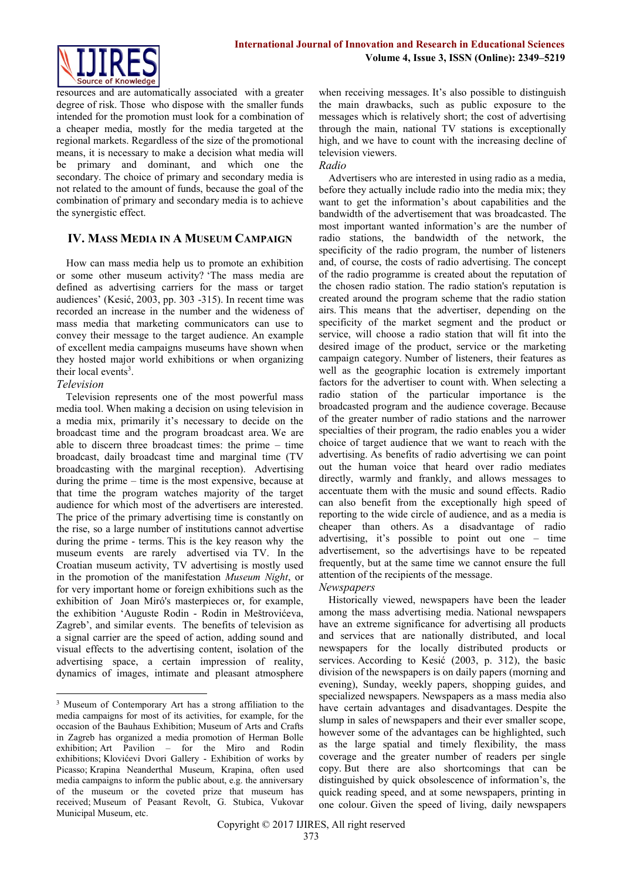

resources and are automatically associated with a greater degree of risk. Those who dispose with the smaller funds intended for the promotion must look for a combination of a cheaper media, mostly for the media targeted at the regional markets. Regardless of the size of the promotional means, it is necessary to make a decision what media will be primary and dominant, and which one the secondary. The choice of primary and secondary media is not related to the amount of funds, because the goal of the combination of primary and secondary media is to achieve the synergistic effect.

# **IV. MASS MEDIA IN A MUSEUM CAMPAIGN**

How can mass media help us to promote an exhibition or some other museum activity? 'The mass media are defined as advertising carriers for the mass or target audiences' (Kesić, 2003, pp. 303 -315). In recent time was recorded an increase in the number and the wideness of mass media that marketing communicators can use to convey their message to the target audience. An example of excellent media campaigns museums have shown when they hosted major world exhibitions or when organizing their local events $3$ .

## *Television*

**.** 

Television represents one of the most powerful mass media tool. When making a decision on using television in a media mix, primarily it's necessary to decide on the broadcast time and the program broadcast area. We are able to discern three broadcast times: the prime – time broadcast, daily broadcast time and marginal time (TV broadcasting with the marginal reception). Advertising during the prime – time is the most expensive, because at that time the program watches majority of the target audience for which most of the advertisers are interested. The price of the primary advertising time is constantly on the rise, so a large number of institutions cannot advertise during the prime - terms. This is the key reason why the museum events are rarely advertised via TV. In the Croatian museum activity, TV advertising is mostly used in the promotion of the manifestation *Museum Night*, or for very important home or foreign exhibitions such as the exhibition of Joan Miró's masterpieces or, for example, the exhibition 'Auguste Rodin - Rodin in Meštrovićeva, Zagreb', and similar events. The benefits of television as a signal carrier are the speed of action, adding sound and visual effects to the advertising content, isolation of the advertising space, a certain impression of reality, dynamics of images, intimate and pleasant atmosphere

when receiving messages. It's also possible to distinguish the main drawbacks, such as public exposure to the messages which is relatively short; the cost of advertising through the main, national TV stations is exceptionally high, and we have to count with the increasing decline of television viewers.

#### *Radio*

Advertisers who are interested in using radio as a media, before they actually include radio into the media mix; they want to get the information's about capabilities and the bandwidth of the advertisement that was broadcasted. The most important wanted information's are the number of radio stations, the bandwidth of the network, the specificity of the radio program, the number of listeners and, of course, the costs of radio advertising. The concept of the radio programme is created about the reputation of the chosen radio station. The radio station's reputation is created around the program scheme that the radio station airs. This means that the advertiser, depending on the specificity of the market segment and the product or service, will choose a radio station that will fit into the desired image of the product, service or the marketing campaign category. Number of listeners, their features as well as the geographic location is extremely important factors for the advertiser to count with. When selecting a radio station of the particular importance is the broadcasted program and the audience coverage. Because of the greater number of radio stations and the narrower specialties of their program, the radio enables you a wider choice of target audience that we want to reach with the advertising. As benefits of radio advertising we can point out the human voice that heard over radio mediates directly, warmly and frankly, and allows messages to accentuate them with the music and sound effects. Radio can also benefit from the exceptionally high speed of reporting to the wide circle of audience, and as a media is cheaper than others. As a disadvantage of radio advertising, it's possible to point out one – time advertisement, so the advertisings have to be repeated frequently, but at the same time we cannot ensure the full attention of the recipients of the message.

#### *Newspapers*

Historically viewed, newspapers have been the leader among the mass advertising media. National newspapers have an extreme significance for advertising all products and services that are nationally distributed, and local newspapers for the locally distributed products or services. According to Kesić (2003, p. 312), the basic division of the newspapers is on daily papers (morning and evening), Sunday, weekly papers, shopping guides, and specialized newspapers. Newspapers as a mass media also have certain advantages and disadvantages. Despite the slump in sales of newspapers and their ever smaller scope, however some of the advantages can be highlighted, such as the large spatial and timely flexibility, the mass coverage and the greater number of readers per single copy. But there are also shortcomings that can be distinguished by quick obsolescence of information's, the quick reading speed, and at some newspapers, printing in one colour. Given the speed of living, daily newspapers

<sup>3</sup> Museum of Contemporary Art has a strong affiliation to the media campaigns for most of its activities, for example, for the occasion of the Bauhaus Exhibition; Museum of Arts and Crafts in Zagreb has organized a media promotion of Herman Bolle exhibition; Art Pavilion – for the Miro and Rodin exhibitions; Klovićevi Dvori Gallery - Exhibition of works by Picasso; Krapina Neanderthal Museum, Krapina, often used media campaigns to inform the public about, e.g. the anniversary of the museum or the coveted prize that museum has received; Museum of Peasant Revolt, G. Stubica, Vukovar Municipal Museum, etc.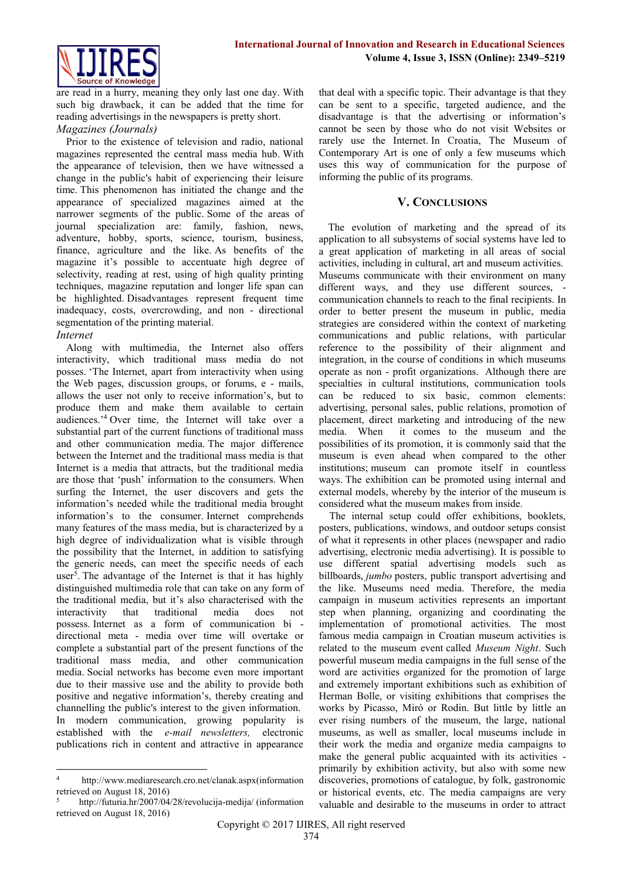

are read in a hurry, meaning they only last one day. With such big drawback, it can be added that the time for reading advertisings in the newspapers is pretty short.

## *Magazines (Journals)*

Prior to the existence of television and radio, national magazines represented the central mass media hub. With the appearance of television, then we have witnessed a change in the public's habit of experiencing their leisure time. This phenomenon has initiated the change and the appearance of specialized magazines aimed at the narrower segments of the public. Some of the areas of journal specialization are: family, fashion, news, adventure, hobby, sports, science, tourism, business, finance, agriculture and the like. As benefits of the magazine it's possible to accentuate high degree of selectivity, reading at rest, using of high quality printing techniques, magazine reputation and longer life span can be highlighted. Disadvantages represent frequent time inadequacy, costs, overcrowding, and non - directional segmentation of the printing material.

# *Internet*

Along with multimedia, the Internet also offers interactivity, which traditional mass media do not posses. 'The Internet, apart from interactivity when using the Web pages, discussion groups, or forums, e - mails, allows the user not only to receive information's, but to produce them and make them available to certain audiences.'<sup>4</sup> Over time, the Internet will take over a substantial part of the current functions of traditional mass and other communication media. The major difference between the Internet and the traditional mass media is that Internet is a media that attracts, but the traditional media are those that 'push' information to the consumers. When surfing the Internet, the user discovers and gets the information's needed while the traditional media brought information's to the consumer. Internet comprehends many features of the mass media, but is characterized by a high degree of individualization what is visible through the possibility that the Internet, in addition to satisfying the generic needs, can meet the specific needs of each user<sup>5</sup>. The advantage of the Internet is that it has highly distinguished multimedia role that can take on any form of the traditional media, but it's also characterised with the interactivity that traditional media does not possess. Internet as a form of communication bi directional meta - media over time will overtake or complete a substantial part of the present functions of the traditional mass media, and other communication media. Social networks has become even more important due to their massive use and the ability to provide both positive and negative information's, thereby creating and channelling the public's interest to the given information. In modern communication, growing popularity is established with the *e-mail newsletters,* electronic publications rich in content and attractive in appearance

that deal with a specific topic. Their advantage is that they can be sent to a specific, targeted audience, and the disadvantage is that the advertising or information's cannot be seen by those who do not visit Websites or rarely use the Internet. In Croatia, The Museum of Contemporary Art is one of only a few museums which uses this way of communication for the purpose of informing the public of its programs.

# **V. CONCLUSIONS**

The evolution of marketing and the spread of its application to all subsystems of social systems have led to a great application of marketing in all areas of social activities, including in cultural, art and museum activities. Museums communicate with their environment on many different ways, and they use different sources, communication channels to reach to the final recipients. In order to better present the museum in public, media strategies are considered within the context of marketing communications and public relations, with particular reference to the possibility of their alignment and integration, in the course of conditions in which museums operate as non - profit organizations. Although there are specialties in cultural institutions, communication tools can be reduced to six basic, common elements: advertising, personal sales, public relations, promotion of placement, direct marketing and introducing of the new media. When it comes to the museum and the possibilities of its promotion, it is commonly said that the museum is even ahead when compared to the other institutions; museum can promote itself in countless ways. The exhibition can be promoted using internal and external models, whereby by the interior of the museum is considered what the museum makes from inside.

 The internal setup could offer exhibitions, booklets, posters, publications, windows, and outdoor setups consist of what it represents in other places (newspaper and radio advertising, electronic media advertising). It is possible to use different spatial advertising models such as billboards, *jumbo* posters, public transport advertising and the like. Museums need media. Therefore, the media campaign in museum activities represents an important step when planning, organizing and coordinating the implementation of promotional activities. The most famous media campaign in Croatian museum activities is related to the museum event called *Museum Night*. Such powerful museum media campaigns in the full sense of the word are activities organized for the promotion of large and extremely important exhibitions such as exhibition of Herman Bolle, or visiting exhibitions that comprises the works by Picasso, Miró or Rodin. But little by little an ever rising numbers of the museum, the large, national museums, as well as smaller, local museums include in their work the media and organize media campaigns to make the general public acquainted with its activities primarily by exhibition activity, but also with some new discoveries, promotions of catalogue, by folk, gastronomic or historical events, etc. The media campaigns are very valuable and desirable to the museums in order to attract

 $\overline{A}$ <sup>4</sup> [http://www.mediaresearch.cro.net/clanak.aspx\(](https://translate.google.com/translate?hl=hr&prev=_t&sl=hr&tl=en&u=http://www.mediaresearch.cro.net/clanak.aspx)information retrieved on August 18, 2016)

<sup>5</sup> [http://futuria.hr/2007/04/28/revolucija-medija/](https://translate.google.com/translate?hl=hr&prev=_t&sl=hr&tl=en&u=http://futuria.hr/2007/04/28/revolucija-medija/) (information retrieved on August 18, 2016)